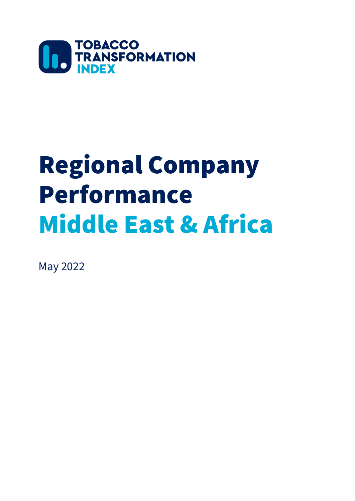

# Regional Company Performance Middle East & Africa

May 2022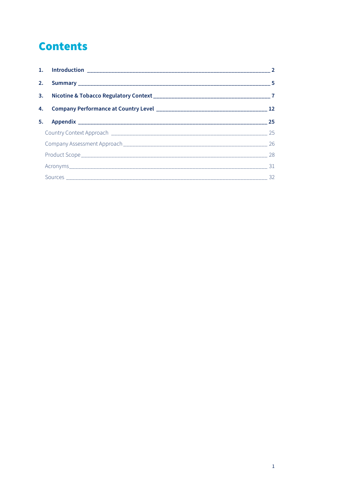# **Contents**

| 2. |  |  |  |  |
|----|--|--|--|--|
|    |  |  |  |  |
|    |  |  |  |  |
|    |  |  |  |  |
|    |  |  |  |  |
|    |  |  |  |  |
|    |  |  |  |  |
|    |  |  |  |  |
|    |  |  |  |  |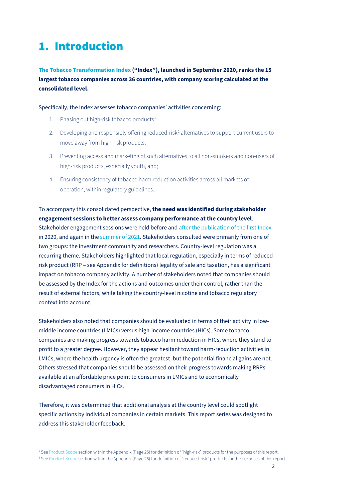# <span id="page-2-0"></span>1. Introduction

**[The Tobacco Transformation Index](https://tobaccotransformationindex.org/2020-index-results/) ("Index"), launched in September 2020, ranks the 15 largest tobacco companies across 36 countries, with company scoring calculated at the consolidated level.**

Specifically, the Index assesses tobacco companies' activities concerning:

- [1](#page-2-1). Phasing out high-risk tobacco products $^1$ ;
- [2](#page-2-2). Developing and responsibly offering reduced-risk<sup>2</sup> alternatives to support current users to move away from high-risk products;
- 3. Preventing access and marketing of such alternatives to all non-smokers and non-users of high-risk products, especially youth, and;
- 4. Ensuring consistency of tobacco harm reduction activities across all markets of operation, within regulatory guidelines.

## To accompany this consolidated perspective, **the need was identified during stakeholder engagement sessions to better assess company performance at the country level**.

Stakeholder engagement sessions were held before and after the [publication of the first Index](https://tobaccotransformationindex.soliddigital.com/wp-content/uploads/2021/09/Post-Pub-Review-Public-Dec-16-final.pdf) in 2020, and again in the [summer of 2021.](https://tobaccotransformationindex.soliddigital.com/wp-content/uploads/2021/09/Stakeholder-Dialogue-Sessions-Report-Sept-2021.pdf) Stakeholders consulted were primarily from one of two groups: the investment community and researchers. Country-level regulation was a recurring theme. Stakeholders highlighted that local regulation, especially in terms of reducedrisk product (RRP – see Appendix for definitions) legality of sale and taxation, has a significant impact on tobacco company activity. A number of stakeholders noted that companies should be assessed by the Index for the actions and outcomes under their control, rather than the result of external factors, while taking the country-level nicotine and tobacco regulatory context into account.

Stakeholders also noted that companies should be evaluated in terms of their activity in lowmiddle income countries (LMICs) versus high-income countries (HICs). Some tobacco companies are making progress towards tobacco harm reduction in HICs, where they stand to profit to a greater degree. However, they appear hesitant toward harm-reduction activities in LMICs, where the health urgency is often the greatest, but the potential financial gains are not. Others stressed that companies should be assessed on their progress towards making RRPs available at an affordable price point to consumers in LMICs and to economically disadvantaged consumers in HICs.

Therefore, it was determined that additional analysis at the country level could spotlight specific actions by individual companies in certain markets. This report series was designed to address this stakeholder feedback.

<span id="page-2-1"></span><sup>1</sup> Se[e Product Scope](#page-28-0) section within the Appendix (Page 25) for definition of "high-risk" products for the purposes of this report.

<span id="page-2-2"></span><sup>&</sup>lt;sup>2</sup> Se[e Product Scope](#page-28-0) section within the Appendix (Page 25) for definition of "reduced-risk" products for the purposes of this report.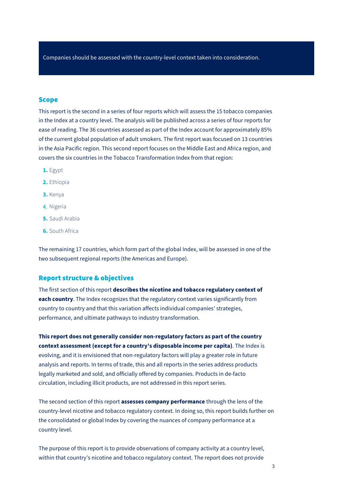Companies should be assessed with the country-level context taken into consideration.

## **Scope**

This report is the second in a series of four reports which will assess the 15 tobacco companies in the Index at a country level. The analysis will be published across a series of four reports for ease of reading. The 36 countries assessed as part of the Index account for approximately 85% of the current global population of adult smokers. The first report was focused on 13 countries in the Asia Pacific region. This second report focuses on the Middle East and Africa region, and covers the six countries in the Tobacco Transformation Index from that region:

- **1.** Egypt
- **2.** Ethiopia
- **3.** Kenya
- 4. Nigeria
- **5.** Saudi Arabia
- **6.** South Africa

The remaining 17 countries, which form part of the global Index, will be assessed in one of the two subsequent regional reports (the Americas and Europe).

## Report structure & objectives

The first section of this report **describes the nicotine and tobacco regulatory context of each country**. The Index recognizes that the regulatory context varies significantly from country to country and that this variation affects individual companies' strategies, performance, and ultimate pathways to industry transformation.

**This report does not generally consider non-regulatory factors as part of the country context assessment (except for a country's disposable income per capita)**. The Index is evolving, and it is envisioned that non-regulatory factors will play a greater role in future analysis and reports. In terms of trade, this and all reports in the series address products legally marketed and sold, and officially offered by companies. Products in de-facto circulation, including illicit products, are not addressed in this report series.

The second section of this report **assesses company performance** through the lens of the country-level nicotine and tobacco regulatory context. In doing so, this report builds further on the consolidated or global Index by covering the nuances of company performance at a country level.

The purpose of this report is to provide observations of company activity at a country level, within that country's nicotine and tobacco regulatory context. The report does not provide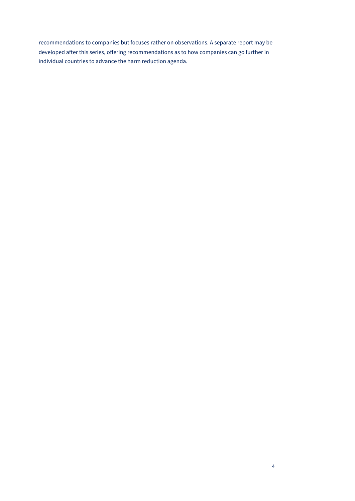recommendations to companies but focuses rather on observations. A separate report may be developed after this series, offering recommendations as to how companies can go further in individual countries to advance the harm reduction agenda.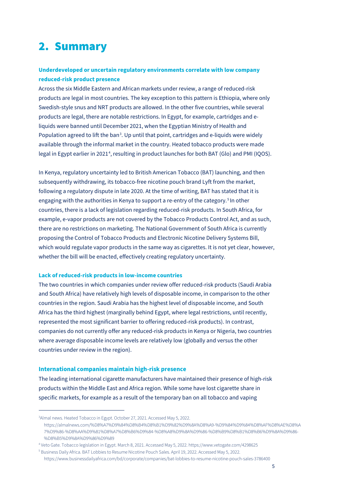# <span id="page-5-0"></span>2. Summary

## **Underdeveloped or uncertain regulatory environments correlate with low company reduced-risk product presence**

Across the six Middle Eastern and African markets under review, a range of reduced-risk products are legal in most countries. The key exception to this pattern is Ethiopia, where only Swedish-style snus and NRT products are allowed. In the other five countries, while several products are legal, there are notable restrictions. In Egypt, for example, cartridges and eliquids were banned until December 2021, when the Egyptian Ministry of Health and Population agreed to lift the ban<sup>[3](#page-5-1)</sup>. Up until that point, cartridges and e-liquids were widely available through the informal market in the country. Heated tobacco products were made legal in Egypt earlier in 2021<sup>[4](#page-5-2)</sup>, resulting in product launches for both BAT (Glo) and PMI (IQOS).

In Kenya, regulatory uncertainty led to British American Tobacco (BAT) launching, and then subsequently withdrawing, its tobacco-free nicotine pouch brand Lyft from the market, following a regulatory dispute in late 2020. At the time of writing, BAT has stated that it is engaging with the authorities in Kenya to support a re-entry of the category. [5](#page-5-3) In other countries, there is a lack of legislation regarding reduced-risk products. In South Africa, for example, e-vapor products are not covered by the Tobacco Products Control Act, and as such, there are no restrictions on marketing. The National Government of South Africa is currently proposing the Control of Tobacco Products and Electronic Nicotine Delivery Systems Bill, which would regulate vapor products in the same way as cigarettes. It is not yet clear, however, whether the bill will be enacted, effectively creating regulatory uncertainty.

## **Lack of reduced-risk products in low-income countries**

The two countries in which companies under review offer reduced-risk products (Saudi Arabia and South Africa) have relatively high levels of disposable income, in comparison to the other countries in the region. Saudi Arabia has the highest level of disposable income, and South Africa has the third highest (marginally behind Egypt, where legal restrictions, until recently, represented the most significant barrier to offering reduced-risk products). In contrast, companies do not currently offer any reduced-risk products in Kenya or Nigeria, two countries where average disposable income levels are relatively low (globally and versus the other countries under review in the region).

## **International companies maintain high-risk presence**

The leading international cigarette manufacturers have maintained their presence of high-risk products within the Middle East and Africa region. While some have lost cigarette share in specific markets, for example as a result of the temporary ban on all tobacco and vaping

<span id="page-5-1"></span><sup>3</sup> Almal news. Heated Tobacco in Egypt. October 27, 2021. Accessed May 5, 2022. https://almalnews.com/%D8%A7%D9%84%D8%B4%D8%B1%D9%82%D9%8A%D8%A9-%D9%84%D9%84%D8%AF%D8%AE%D8%A 7%D9%86-%D8%AA%D9%81%D8%A7%D8%B6%D9%84-%D8%A8%D9%8A%D9%86-%D8%B9%D8%B1%D8%B6%D9%8A%D9%86- %D8%B5%D9%8A%D9%86%D9%89

<span id="page-5-2"></span><sup>4</sup> Veto Gate. Tobacco legislation in Egypt. March 8, 2021. Accessed May 5, 2022. https://www.vetogate.com/4298625

<span id="page-5-3"></span><sup>5</sup> Business Daily Africa. BAT Lobbies to Resume Nicotine Pouch Sales. April 19, 2022. Accessed May 5, 2022. https://www.businessdailyafrica.com/bd/corporate/companies/bat-lobbies-to-resume-nicotine-pouch-sales-3786400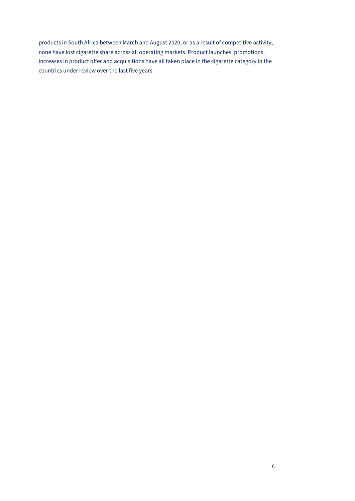products in South Africa between March and August 2020, or as a result of competitive activity, none have lost cigarette share across all operating markets. Product launches, promotions, increases in product offer and acquisitions have all taken place in the cigarette category in the countries under review over the last five years.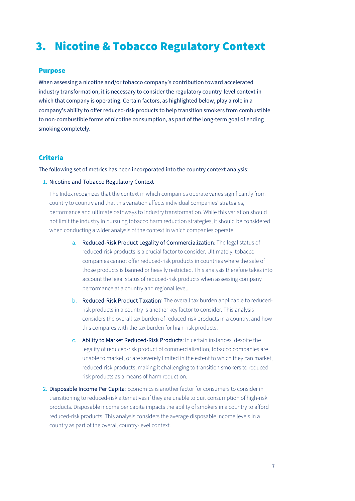# <span id="page-7-0"></span>3. Nicotine & Tobacco Regulatory Context

## Purpose

When assessing a nicotine and/or tobacco company's contribution toward accelerated industry transformation, it is necessary to consider the regulatory country-level context in which that company is operating. Certain factors, as highlighted below, play a role in a company's ability to offer reduced-risk products to help transition smokers from combustible to non-combustible forms of nicotine consumption, as part of the long-term goal of ending smoking completely.

## Criteria

The following set of metrics has been incorporated into the country context analysis:

## 1. Nicotine and Tobacco Regulatory Context

The Index recognizes that the context in which companies operate varies significantly from country to country and that this variation affects individual companies' strategies, performance and ultimate pathways to industry transformation. While this variation should not limit the industry in pursuing tobacco harm reduction strategies, it should be considered when conducting a wider analysis of the context in which companies operate.

- a. Reduced-Risk Product Legality of Commercialization: The legal status of reduced-risk products is a crucial factor to consider. Ultimately, tobacco companies cannot offer reduced-risk products in countries where the sale of those products is banned or heavily restricted. This analysis therefore takes into account the legal status of reduced-risk products when assessing company performance at a country and regional level.
- b. Reduced-Risk Product Taxation: The overall tax burden applicable to reducedrisk products in a country is another key factor to consider. This analysis considers the overall tax burden of reduced-risk products in a country, and how this compares with the tax burden for high-risk products.
- c. Ability to Market Reduced-Risk Products: In certain instances, despite the legality of reduced-risk product of commercialization, tobacco companies are unable to market, or are severely limited in the extent to which they can market, reduced-risk products, making it challenging to transition smokers to reducedrisk products as a means of harm reduction.
- 2. Disposable Income Per Capita: Economics is another factor for consumers to consider in transitioning to reduced-risk alternatives if they are unable to quit consumption of high-risk products. Disposable income per capita impacts the ability of smokers in a country to afford reduced-risk products. This analysis considers the average disposable income levels in a country as part of the overall country-level context.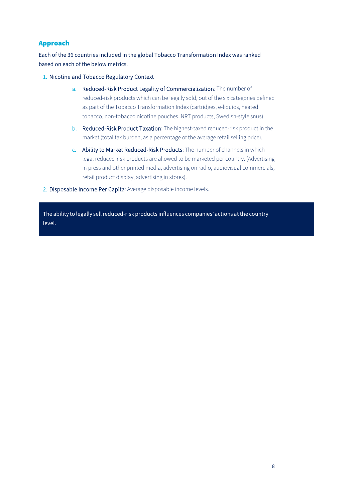## Approach

Each of the 36 countries included in the global Tobacco Transformation Index was ranked based on each of the below metrics.

## 1. Nicotine and Tobacco Regulatory Context

- a. Reduced-Risk Product Legality of Commercialization: The number of reduced-risk products which can be legally sold, out of the six categories defined as part of the Tobacco Transformation Index (cartridges, e-liquids, heated tobacco, non-tobacco nicotine pouches, NRT products, Swedish-style snus).
- b. Reduced-Risk Product Taxation: The highest-taxed reduced-risk product in the market (total tax burden, as a percentage of the average retail selling price).
- c. Ability to Market Reduced-Risk Products: The number of channels in which legal reduced-risk products are allowed to be marketed per country. (Advertising in press and other printed media, advertising on radio, audiovisual commercials, retail product display, advertising in stores).
- 2. Disposable Income Per Capita: Average disposable income levels.

The ability to legally sell reduced-risk products influences companies' actions at the country level.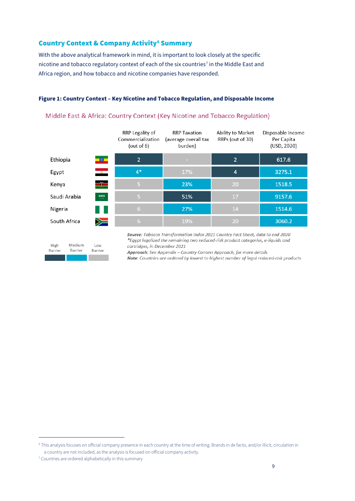## **Country Context & Company Activity<sup>[6](#page-9-0)</sup> Summary**

With the above analytical framework in mind, it is important to look closely at the specific nicotine and tobacco regulatory context of each of the six countries<sup>[7](#page-9-1)</sup> in the Middle East and Africa region, and how tobacco and nicotine companies have responded.

## **Figure 1: Country Context – Key Nicotine and Tobacco Regulation, and Disposable Income**

|                |                                                                                        | RRP Legality of<br>Commercialization<br>(out of $6$ ) | <b>RRP Taxation</b><br>(average overall tax<br>burden)                                                                                                              | Ability to Market<br>RRPs (out of 30) | Disposable Income<br>Per Capita<br>(USD, 2020) |
|----------------|----------------------------------------------------------------------------------------|-------------------------------------------------------|---------------------------------------------------------------------------------------------------------------------------------------------------------------------|---------------------------------------|------------------------------------------------|
| Ethiopia       | 卷                                                                                      | $\overline{2}$                                        |                                                                                                                                                                     | $\overline{2}$                        | 617.6                                          |
| Egypt          | $\mathbf{z}$                                                                           | $4*$                                                  | 17%                                                                                                                                                                 | 4                                     | 3275.1                                         |
| Kenya          | $=$ $=$                                                                                | $\mathsf{S}$                                          | 23%                                                                                                                                                                 | 20                                    | 1518.5                                         |
| Saudi Arabia   | $\begin{array}{c} \text{SPAS} \\ \begin{array}{c} \text{SPAS} \end{array} \end{array}$ | 5                                                     | 51%                                                                                                                                                                 | 17                                    | 9157.6                                         |
| Nigeria        |                                                                                        | 6                                                     | 27%                                                                                                                                                                 | 14                                    | 1514.6                                         |
| South Africa   | $\geqslant$                                                                            | 6                                                     | 19%                                                                                                                                                                 | 20                                    | 3060.2                                         |
| Medium<br>High | Low                                                                                    | cartridage in December 2021                           | Source: Tobacco Transformation Index 2021 Country Fact Sheet, data to end 2020<br>*Egypt legalized the remaining two reduced-risk product categories, e-liquids and |                                       |                                                |

## Middle East & Africa: Country Context (Key Nicotine and Tobacco Regulation)

Barrier Barrier Barrier cartridges, in December 2021

Approach: See Appendix - Country Context Approach, for more details

Note: Countries are ordered by lowest to highest number of legal reduced-risk products

<span id="page-9-0"></span><sup>6</sup> This analysis focuses on official company presence in each country at the time of writing. Brands in de facto, and/or illicit, circulation in a country are not included, as the analysis is focused on official company activity.

<span id="page-9-1"></span><sup>7</sup> Countries are ordered alphabetically in this summary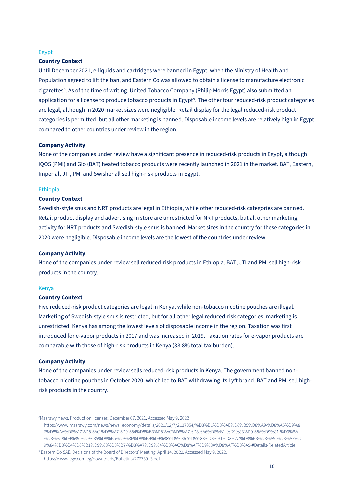#### Egypt

## **Country Context**

Until December 2021, e-liquids and cartridges were banned in Egypt, when the Ministry of Health and Population agreed to lift the ban, and Eastern Co was allowed to obtain a license to manufacture electronic cigarettes[8](#page-10-0) . As of the time of writing, United Tobacco Company (Philip Morris Egypt) also submitted an application for a license to produce tobacco products in Egypt<sup>[9](#page-10-1)</sup>. The other four reduced-risk product categories are legal, although in 2020 market sizes were negligible. Retail display for the legal reduced-risk product categories is permitted, but all other marketing is banned. Disposable income levels are relatively high in Egypt compared to other countries under review in the region.

## **Company Activity**

None of the companies under review have a significant presence in reduced-risk products in Egypt, although IQOS (PMI) and Glo (BAT) heated tobacco products were recently launched in 2021 in the market. BAT, Eastern, Imperial, JTI, PMI and Swisher all sell high-risk products in Egypt.

## Ethiopia

## **Country Context**

Swedish-style snus and NRT products are legal in Ethiopia, while other reduced-risk categories are banned. Retail product display and advertising in store are unrestricted for NRT products, but all other marketing activity for NRT products and Swedish-style snus is banned. Market sizes in the country for these categories in 2020 were negligible. Disposable income levels are the lowest of the countries under review.

#### **Company Activity**

None of the companies under review sell reduced-risk products in Ethiopia. BAT, JTI and PMI sell high-risk products in the country.

#### Kenya

#### **Country Context**

Five reduced-risk product categories are legal in Kenya, while non-tobacco nicotine pouches are illegal. Marketing of Swedish-style snus is restricted, but for all other legal reduced-risk categories, marketing is unrestricted. Kenya has among the lowest levels of disposable income in the region. Taxation was first introduced for e-vapor products in 2017 and was increased in 2019. Taxation rates for e-vapor products are comparable with those of high-risk products in Kenya (33.8% total tax burden).

#### **Company Activity**

None of the companies under review sells reduced-risk products in Kenya. The government banned nontobacco nicotine pouches in October 2020, which led to BAT withdrawing its Lyft brand. BAT and PMI sell highrisk products in the country.

<span id="page-10-0"></span><sup>8</sup> Masrawy news. Production licenses. December 07, 2021. Accessed May 9, 2022 https://www.masrawy.com/news/news\_economy/details/2021/12/7/2137054/%D8%B1%D8%AE%D8%B5%D8%A9-%D8%A5%D9%8 6%D8%AA%D8%A7%D8%AC-%D8%A7%D9%84%D8%B3%D8%AC%D8%A7%D8%A6%D8%B1-%D9%83%D9%8A%D9%81-%D9%8A %D8%B1%D9%89-%D9%85%D8%B5%D9%86%D8%B9%D9%88%D9%86-%D9%83%D8%B1%D8%A7%D8%B3%D8%A9-%D8%A7%D 9%84%D8%B4%D8%B1%D9%88%D8%B7-%D8%A7%D9%84%D8%AC%D8%AF%D9%8A%D8%AF%D8%A9-#Details-RelatedArticle

<span id="page-10-1"></span><sup>9</sup> Eastern Co SAE. Decisions of the Board of Directors' Meeting. April 14, 2022. Accessed May 9, 2022. https://www.egx.com.eg/downloads/Bulletins/276739\_3.pdf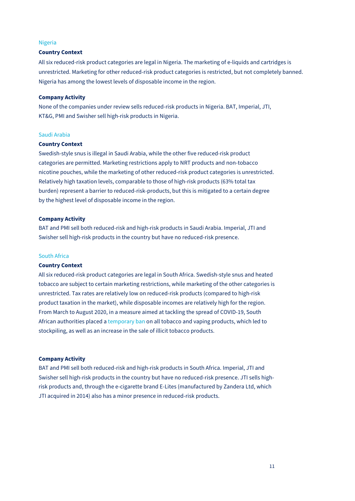## Nigeria

## **Country Context**

All six reduced-risk product categories are legal in Nigeria. The marketing of e-liquids and cartridges is unrestricted. Marketing for other reduced-risk product categories is restricted, but not completely banned. Nigeria has among the lowest levels of disposable income in the region.

#### **Company Activity**

None of the companies under review sells reduced-risk products in Nigeria. BAT, Imperial, JTI, KT&G, PMI and Swisher sell high-risk products in Nigeria.

## Saudi Arabia

## **Country Context**

Swedish-style snus is illegal in Saudi Arabia, while the other five reduced-risk product categories are permitted. Marketing restrictions apply to NRT products and non-tobacco nicotine pouches, while the marketing of other reduced-risk product categories is unrestricted. Relatively high taxation levels, comparable to those of high-risk products (63% total tax burden) represent a barrier to reduced-risk-products, but this is mitigated to a certain degree by the highest level of disposable income in the region.

## **Company Activity**

BAT and PMI sell both reduced-risk and high-risk products in Saudi Arabia. Imperial, JTI and Swisher sell high-risk products in the country but have no reduced-risk presence.

## South Africa

#### **Country Context**

All six reduced-risk product categories are legal in South Africa. Swedish-style snus and heated tobacco are subject to certain marketing restrictions, while marketing of the other categories is unrestricted. Tax rates are relatively low on reduced-risk products (compared to high-risk product taxation in the market), while disposable incomes are relatively high for the region. From March to August 2020, in a measure aimed at tackling the spread of COVID-19, South African authorities placed [a temporary ban](https://www.smokefreeworld.org/conflicting-signals-in-south-africa/) on all tobacco and vaping products, which led to stockpiling, as well as an increase in the sale of illicit tobacco products.

#### **Company Activity**

BAT and PMI sell both reduced-risk and high-risk products in South Africa. Imperial, JTI and Swisher sell high-risk products in the country but have no reduced-risk presence. JTI sells highrisk products and, through the e-cigarette brand E-Lites (manufactured by Zandera Ltd, which JTI acquired in 2014) also has a minor presence in reduced-risk products.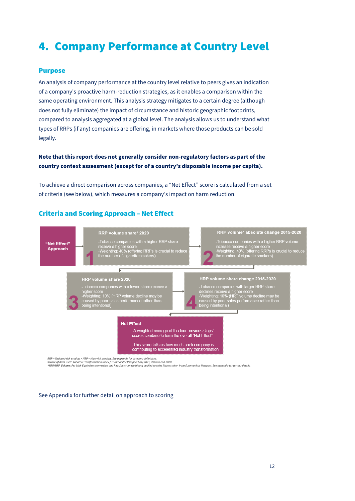# <span id="page-12-0"></span>4. Company Performance at Country Level

## Purpose

An analysis of company performance at the country level relative to peers gives an indication of a company's proactive harm-reduction strategies, as it enables a comparison within the same operating environment. This analysis strategy mitigates to a certain degree (although does not fully eliminate) the impact of circumstance and historic geographic footprints, compared to analysis aggregated at a global level. The analysis allows us to understand what types of RRPs (if any) companies are offering, in markets where those products can be sold legally.

## **Note that this report does not generally consider non-regulatory factors as part of the country context assessment (except for of a country's disposable income per capita).**

To achieve a direct comparison across companies, a "Net Effect" score is calculated from a set of criteria (see below), which measures a company's impact on harm reduction.

## Criteria and Scoring Approach – Net Effect



#### See Appendix for further detail on approach to scoring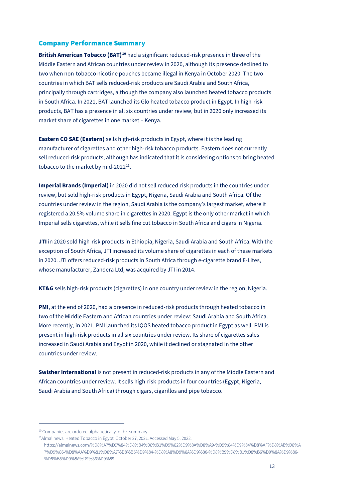## Company Performance Summary

**British American Tobacco (BAT)[10](#page-13-0)** had a significant reduced-risk presence in three of the Middle Eastern and African countries under review in 2020, although its presence declined to two when non-tobacco nicotine pouches became illegal in Kenya in October 2020. The two countries in which BAT sells reduced-risk products are Saudi Arabia and South Africa, principally through cartridges, although the company also launched heated tobacco products in South Africa. In 2021, BAT launched its Glo heated tobacco product in Egypt. In high-risk products, BAT has a presence in all six countries under review, but in 2020 only increased its market share of cigarettes in one market – Kenya.

**Eastern CO SAE (Eastern)** sells high-risk products in Egypt, where it is the leading manufacturer of cigarettes and other high-risk tobacco products. Eastern does not currently sell reduced-risk products, although has indicated that it is considering options to bring heated tobacco to the market by mid-2022 $^{11}$  $^{11}$  $^{11}$ .

**Imperial Brands (Imperial)** in 2020 did not sell reduced-risk products in the countries under review, but sold high-risk products in Egypt, Nigeria, Saudi Arabia and South Africa. Of the countries under review in the region, Saudi Arabia is the company's largest market, where it registered a 20.5% volume share in cigarettes in 2020. Egypt is the only other market in which Imperial sells cigarettes, while it sells fine cut tobacco in South Africa and cigars in Nigeria.

**JTI** in 2020 sold high-risk products in Ethiopia, Nigeria, Saudi Arabia and South Africa. With the exception of South Africa, JTI increased its volume share of cigarettes in each of these markets in 2020. JTI offers reduced-risk products in South Africa through e-cigarette brand E-Lites, whose manufacturer, Zandera Ltd, was acquired by JTI in 2014.

**KT&G** sells high-risk products (cigarettes) in one country under review in the region, Nigeria.

**PMI**, at the end of 2020, had a presence in reduced-risk products through heated tobacco in two of the Middle Eastern and African countries under review: Saudi Arabia and South Africa. More recently, in 2021, PMI launched its IQOS heated tobacco product in Egypt as well. PMI is present in high-risk products in all six countries under review. Its share of cigarettes sales increased in Saudi Arabia and Egypt in 2020, while it declined or stagnated in the other countries under review.

**Swisher International** is not present in reduced-risk products in any of the Middle Eastern and African countries under review. It sells high-risk products in four countries (Egypt, Nigeria, Saudi Arabia and South Africa) through cigars, cigarillos and pipe tobacco.

<span id="page-13-0"></span><sup>&</sup>lt;sup>10</sup> Companies are ordered alphabetically in this summary

<span id="page-13-1"></span><sup>&</sup>lt;sup>11</sup>Almal news. Heated Tobacco in Egypt. October 27, 2021. Accessed May 5, 2022.

https://almalnews.com/%D8%A7%D9%84%D8%B4%D8%B1%D9%82%D9%8A%D8%A9-%D9%84%D9%84%D8%AF%D8%AE%D8%A 7%D9%86-%D8%AA%D9%81%D8%A7%D8%B6%D9%84-%D8%A8%D9%8A%D9%86-%D8%B9%D8%B1%D8%B6%D9%8A%D9%86- %D8%B5%D9%8A%D9%86%D9%89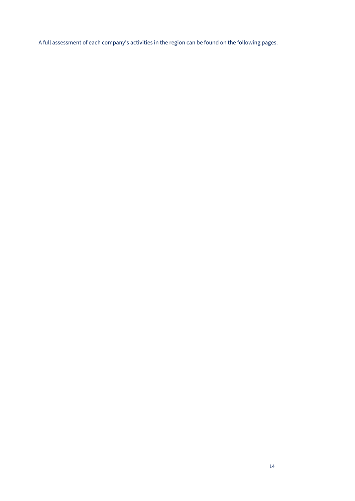A full assessment of each company's activities in the region can be found on the following pages.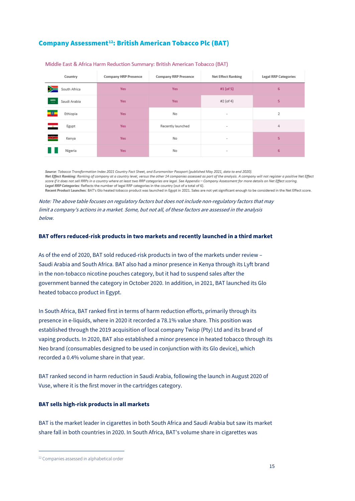## Company Assessment<sup>12</sup>: British American Tobacco Plc (BAT)

| Country                          | <b>Company HRP Presence</b> | Company RRP Presence | <b>Net Effect Ranking</b> | <b>Legal RRP Categories</b> |
|----------------------------------|-----------------------------|----------------------|---------------------------|-----------------------------|
| ➣<br>South Africa                | <b>Yes</b>                  | <b>Yes</b>           | #1 $($ of 5 $)$           | 6                           |
| $\frac{93213}{}$<br>Saudi Arabia | <b>Yes</b>                  | <b>Yes</b>           | #2 (of 4)                 | 5                           |
| Ethiopia                         | <b>Yes</b>                  | No                   | $\sim$                    | 2                           |
| ш.<br>Egypt                      | <b>Yes</b>                  | Recently launched    | $\sim$                    | 4                           |
| Æ<br>Kenya                       | <b>Yes</b>                  | No                   | $\sim$                    | 5                           |
| Nigeria                          | <b>Yes</b>                  | No                   | $\sim$                    | 6                           |

#### Middle East & Africa Harm Reduction Summary: British American Tobacco (BAT)

Source: Tobacco Transformation Index 2021 Country Fact Sheet, and Euromonitor Passport (published May 2021, data to end 2020) Net Effect Ranking: Ranking of company at a country level, versus the other 14 companies assessed as part of the analysis. A company will not register a positive Net Effect score if it does not sell RRPs in a country where at least two RRP categories are legal. See Appendix – Company Assessment for more details on Net Effect scoring. Legal RRP Categories: Reflects the number of legal RRP categories in the country (out of a total of 6). Recent Product Launches: BAT's Glo heated tobacco product was launched in Egypt in 2021. Sales are not yet significant enough to be considered in the Net Effect score.

Note: The above table focuses on regulatory factors but does not include non-regulatory factors that may limit a company's actions in a market. Some, but not all, of these factors are assessed in the analysis below.

## **BAT offers reduced-risk products in two markets and recently launched in a third market**

As of the end of 2020, BAT sold reduced-risk products in two of the markets under review – Saudi Arabia and South Africa. BAT also had a minor presence in Kenya through its Lyft brand in the non-tobacco nicotine pouches category, but it had to suspend sales after the government banned the category in October 2020. In addition, in 2021, BAT launched its Glo heated tobacco product in Egypt.

In South Africa, BAT ranked first in terms of harm reduction efforts, primarily through its presence in e-liquids, where in 2020 it recorded a 78.1% value share. This position was established through the 2019 acquisition of local company Twisp (Pty) Ltd and its brand of vaping products. In 2020, BAT also established a minor presence in heated tobacco through its Neo brand (consumables designed to be used in conjunction with its Glo device), which recorded a 0.4% volume share in that year.

BAT ranked second in harm reduction in Saudi Arabia, following the launch in August 2020 of Vuse, where it is the first mover in the cartridges category.

#### **BAT sells high-risk products in all markets**

BAT is the market leader in cigarettes in both South Africa and Saudi Arabia but saw its market share fall in both countries in 2020. In South Africa, BAT's volume share in cigarettes was

<span id="page-15-0"></span><sup>&</sup>lt;sup>12</sup> Companies assessed in alphabetical order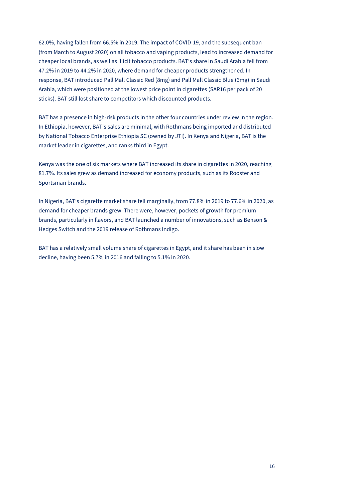62.0%, having fallen from 66.5% in 2019. The impact of COVID-19, and the subsequent ban (from March to August 2020) on all tobacco and vaping products, lead to increased demand for cheaper local brands, as well as illicit tobacco products. BAT's share in Saudi Arabia fell from 47.2% in 2019 to 44.2% in 2020, where demand for cheaper products strengthened. In response, BAT introduced Pall Mall Classic Red (8mg) and Pall Mall Classic Blue (6mg) in Saudi Arabia, which were positioned at the lowest price point in cigarettes (SAR16 per pack of 20 sticks). BAT still lost share to competitors which discounted products.

BAT has a presence in high-risk products in the other four countries under review in the region. In Ethiopia, however, BAT's sales are minimal, with Rothmans being imported and distributed by National Tobacco Enterprise Ethiopia SC (owned by JTI). In Kenya and Nigeria, BAT is the market leader in cigarettes, and ranks third in Egypt.

Kenya was the one of six markets where BAT increased its share in cigarettes in 2020, reaching 81.7%. Its sales grew as demand increased for economy products, such as its Rooster and Sportsman brands.

In Nigeria, BAT's cigarette market share fell marginally, from 77.8% in 2019 to 77.6% in 2020, as demand for cheaper brands grew. There were, however, pockets of growth for premium brands, particularly in flavors, and BAT launched a number of innovations, such as Benson & Hedges Switch and the 2019 release of Rothmans Indigo.

BAT has a relatively small volume share of cigarettes in Egypt, and it share has been in slow decline, having been 5.7% in 2016 and falling to 5.1% in 2020.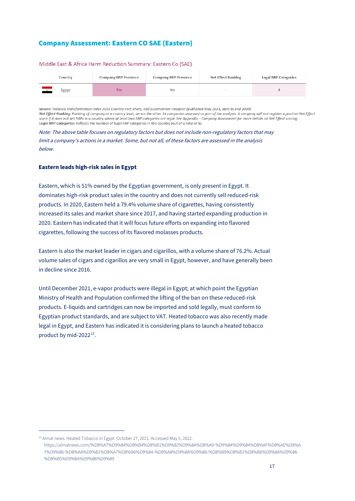## Company Assessment: Eastern CO SAE (Eastern)

| Country | Company HRP Presence |     | <b>Net Effect Ranking</b> | <b>Legal RRP Categories</b> |
|---------|----------------------|-----|---------------------------|-----------------------------|
| Egypt   | Yes                  | No. |                           |                             |

#### Middle East & Africa Harm Reduction Summary: Eastern Co (SAE)

Source: Tobacco Transformation Index 2021 Country Fact Sheet, and Euromonitor Passport (published May 2021, data to end 2020). Net Effect Ranking: Ranking of company at a country level, versus the other 14 companies assessed as part of the analysis. A company will not register a positive Net Effect score if it does not sell RRPs in a country where at least two RRP categories are legal. See Appendix - Company Assessment for more details on Net Effect scoring. Legal RRP Categories: Reflects the number of legal RRP categories in the country (out of a total of 6).

Note: The above table focuses on regulatory factors but does not include non-regulatory factors that may limit a company's actions in a market. Some, but not all, of these factors are assessed in the analysis below.

## **Eastern leads high-risk sales in Egypt**

Eastern, which is 51% owned by the Egyptian government, is only present in Egypt. It dominates high-risk product sales in the country and does not currently sell reduced-risk products. In 2020, Eastern held a 79.4% volume share of cigarettes, having consistently increased its sales and market share since 2017, and having started expanding production in 2020. Eastern has indicated that it will focus future efforts on expanding into flavored cigarettes, following the success of its flavored molasses products.

Eastern is also the market leader in cigars and cigarillos, with a volume share of 76.2%. Actual volume sales of cigars and cigarillos are very small in Egypt, however, and have generally been in decline since 2016.

Until December 2021, e-vapor products were illegal in Egypt; at which point the Egyptian Ministry of Health and Population confirmed the lifting of the ban on these reduced-risk products. E-liquids and cartridges can now be imported and sold legally, must conform to Egyptian product standards, and are subject to VAT. Heated tobacco was also recently made legal in Egypt, and Eastern has indicated it is considering plans to launch a heated tobacco product by mid-2022<sup>[13](#page-17-0)</sup>.

<span id="page-17-0"></span><sup>&</sup>lt;sup>13</sup> Almal news. Heated Tobacco in Egypt. October 27, 2021. Accessed May 5, 2022.

https://almalnews.com/%D8%A7%D9%84%D8%B4%D8%B1%D9%82%D9%8A%D8%A9-%D9%84%D9%84%D8%AF%D8%AE%D8%A 7%D9%86-%D8%AA%D9%81%D8%A7%D8%B6%D9%84-%D8%A8%D9%8A%D9%86-%D8%B9%D8%B1%D8%B6%D9%8A%D9%86- %D8%B5%D9%8A%D9%86%D9%89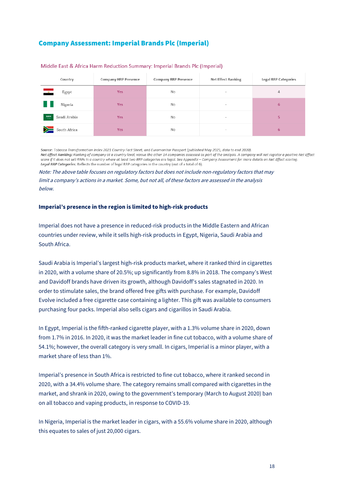## Company Assessment: Imperial Brands Plc (Imperial)

| Country                            | <b>Company HRP Presence</b> | <b>Company RRP Presence</b> | <b>Net Effect Ranking</b> | <b>Legal RRP Categories</b> |
|------------------------------------|-----------------------------|-----------------------------|---------------------------|-----------------------------|
| $\frac{1}{2}$<br>Egypt             | <b>Yes</b>                  | No                          | $\overline{\phantom{a}}$  | $\overline{4}$              |
| Nigeria                            | <b>Yes</b>                  | No                          | $\sim$                    | 6                           |
| $\frac{53703}{-1}$<br>Saudi Arabia | <b>Yes</b>                  | <b>No</b>                   | $\overline{\phantom{a}}$  | 5                           |
| $\geq$<br>South Africa             | <b>Yes</b>                  | No                          | $\overline{\phantom{a}}$  | 6                           |

#### Middle East & Africa Harm Reduction Summary: Imperial Brands Plc (Imperial)

Source: Tobacco Transformation Index 2021 Country Fact Sheet, and Euromonitor Passport (published May 2021, data to end 2020). Net Effect Ranking: Ranking of company at a country level, versus the other 14 companies assessed as part of the analysis. A company will not register a positive Net Effect score if it does not sell RRPs in a country where at least two RRP categories are leagl. See Appendix – Company Assessment for more details on Net Effect scoring. Legal RRP Categories: Reflects the number of legal RRP categories in the country (out of a total of 6).

Note: The above table focuses on regulatory factors but does not include non-regulatory factors that may limit a company's actions in a market. Some, but not all, of these factors are assessed in the analysis below.

## **Imperial's presence in the region is limited to high-risk products**

Imperial does not have a presence in reduced-risk products in the Middle Eastern and African countries under review, while it sells high-risk products in Egypt, Nigeria, Saudi Arabia and South Africa.

Saudi Arabia is Imperial's largest high-risk products market, where it ranked third in cigarettes in 2020, with a volume share of 20.5%; up significantly from 8.8% in 2018. The company's West and Davidoff brands have driven its growth, although Davidoff's sales stagnated in 2020. In order to stimulate sales, the brand offered free gifts with purchase. For example, Davidoff Evolve included a free cigarette case containing a lighter. This gift was available to consumers purchasing four packs. Imperial also sells cigars and cigarillos in Saudi Arabia.

In Egypt, Imperial is the fifth-ranked cigarette player, with a 1.3% volume share in 2020, down from 1.7% in 2016. In 2020, it was the market leader in fine cut tobacco, with a volume share of 54.1%; however, the overall category is very small. In cigars, Imperial is a minor player, with a market share of less than 1%.

Imperial's presence in South Africa is restricted to fine cut tobacco, where it ranked second in 2020, with a 34.4% volume share. The category remains small compared with cigarettes in the market, and shrank in 2020, owing to the government's temporary (March to August 2020) ban on all tobacco and vaping products, in response to COVID-19.

In Nigeria, Imperial is the market leader in cigars, with a 55.6% volume share in 2020, although this equates to sales of just 20,000 cigars.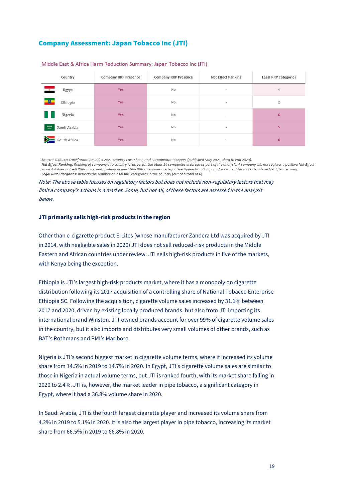## Company Assessment: Japan Tobacco Inc (JTI)

| Country                | <b>Company HRP Presence</b> | <b>Company RRP Presence</b> | <b>Net Effect Ranking</b>       | <b>Legal RRP Categories</b> |
|------------------------|-----------------------------|-----------------------------|---------------------------------|-----------------------------|
| Egypt<br>$\frac{1}{2}$ | <b>Yes</b>                  | No                          | $\overline{\phantom{a}}$        | 4                           |
| Ethiopia               | <b>Yes</b>                  | No                          | $\overline{\phantom{a}}$        | 2                           |
| Nigeria                | <b>Yes</b>                  | No                          | $\hspace{0.1mm}-\hspace{0.1mm}$ | 6                           |
| Saudi Arabia           | <b>Yes</b>                  | No                          | $\overline{\phantom{a}}$        | 5.                          |
| South Africa           | <b>Yes</b>                  | No                          | $\overline{\phantom{a}}$        | $6\phantom{1}$              |

#### Middle East & Africa Harm Reduction Summary: Japan Tobacco Inc (JTI)

Source: Tobacco Transformation Index 2021 Country Fact Sheet, and Euromonitor Passport (published May 2021, data to end 2020). Net Effect Ranking: Ranking of company at a country level, versus the other 14 companies assessed as part of the analysis. A company will not register a positive Net Effect score if it does not sell RRPs in a country where at least two RRP categories are legal. See Appendix - Company Assessment for more details on Net Effect scoring. Legal RRP Categories: Reflects the number of legal RRP categories in the country (out of a total of 6).

Note: The above table focuses on regulatory factors but does not include non-regulatory factors that may limit a company's actions in a market. Some, but not all, of these factors are assessed in the analysis below.

## **JTI primarily sells high-risk products in the region**

Other than e-cigarette product E-Lites (whose manufacturer Zandera Ltd was acquired by JTI in 2014, with negligible sales in 2020) JTI does not sell reduced-risk products in the Middle Eastern and African countries under review. JTI sells high-risk products in five of the markets, with Kenya being the exception.

Ethiopia is JTI's largest high-risk products market, where it has a monopoly on cigarette distribution following its 2017 acquisition of a controlling share of National Tobacco Enterprise Ethiopia SC. Following the acquisition, cigarette volume sales increased by 31.1% between 2017 and 2020, driven by existing locally produced brands, but also from JTI importing its international brand Winston. JTI-owned brands account for over 99% of cigarette volume sales in the country, but it also imports and distributes very small volumes of other brands, such as BAT's Rothmans and PMI's Marlboro.

Nigeria is JTI's second biggest market in cigarette volume terms, where it increased its volume share from 14.5% in 2019 to 14.7% in 2020. In Egypt, JTI's cigarette volume sales are similar to those in Nigeria in actual volume terms, but JTI is ranked fourth, with its market share falling in 2020 to 2.4%. JTI is, however, the market leader in pipe tobacco, a significant category in Egypt, where it had a 36.8% volume share in 2020.

In Saudi Arabia, JTI is the fourth largest cigarette player and increased its volume share from 4.2% in 2019 to 5.1% in 2020. It is also the largest player in pipe tobacco, increasing its market share from 66.5% in 2019 to 66.8% in 2020.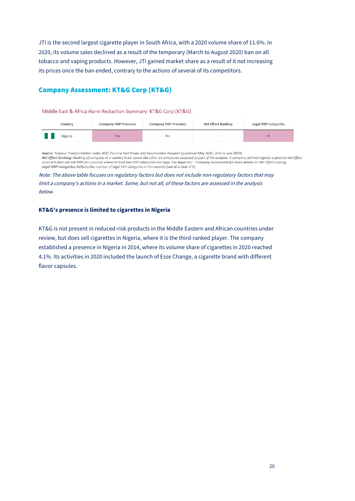JTI is the second largest cigarette player in South Africa, with a 2020 volume share of 11.6%. In 2020, its volume sales declined as a result of the temporary (March to August 2020) ban on all tobacco and vaping products. However, JTI gained market share as a result of it not increasing its prices once the ban ended, contrary to the actions of several of its competitors.

## Company Assessment: KT&G Corp (KT&G)

#### Middle East & Africa Harm Reduction Summary: KT&G Corp (KT&G)

| Country | <b>Company HRP Presence</b> |    | <b>Net Effect Ranking</b> | <b>Legal RRP Categories</b> |
|---------|-----------------------------|----|---------------------------|-----------------------------|
| Nigeria | Yes                         | No |                           |                             |

Source: Tobacco Transformation Index 2021 Country Fact Sheet, and Euromonitor Passport (published May 2021, data to end 2020). Net Effect Ranking: Ranking of company at a country level, versus the other 14 companies assessed as part of the analysis. A company will not register a positive Net Effect<br>score if it does not sell RRPs in a country where Legal RRP Categories: Reflects the number of legal RRP categories in the country (out of a total of 6).

Note: The above table focuses on regulatory factors but does not include non-regulatory factors that may limit a company's actions in a market. Some, but not all, of these factors are assessed in the analysis below.

#### **KT&G's presence is limited to cigarettes in Nigeria**

KT&G is not present in reduced-risk products in the Middle Eastern and African countries under review, but does sell cigarettes in Nigeria, where it is the third-ranked player. The company established a presence in Nigeria in 2014, where its volume share of cigarettes in 2020 reached 4.1%. Its activities in 2020 included the launch of Esse Change, a cigarette brand with different flavor capsules.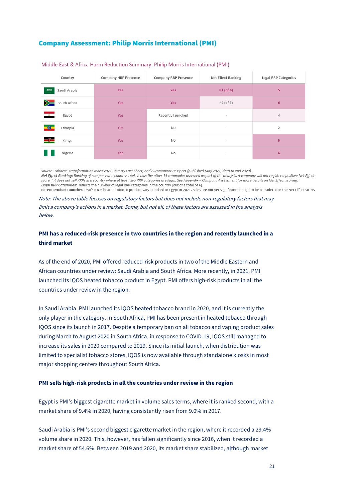## Company Assessment: Philip Morris International (PMI)

| Country                         | <b>Company HRP Presence</b> | <b>Company RRP Presence</b> | <b>Net Effect Ranking</b> | <b>Legal RRP Categories</b> |
|---------------------------------|-----------------------------|-----------------------------|---------------------------|-----------------------------|
| $rac{53203}{1}$<br>Saudi Arabia | <b>Yes</b>                  | <b>Yes</b>                  | #1 (of 4)                 | 5.                          |
| y≍<br>South Africa              | <b>Yes</b>                  | <b>Yes</b>                  | #2 (of 5)                 | 6                           |
| $\frac{1}{2}$<br>Egypt          | <b>Yes</b>                  | Recently launched           | $\,$                      | 4                           |
| Ethiopia                        | <b>Yes</b>                  | No                          | $\overline{\phantom{a}}$  | $\overline{2}$              |
| ≡⊫<br>Kenya                     | <b>Yes</b>                  | No                          | $\sim$                    | 5                           |
| Nigeria                         | <b>Yes</b>                  | No                          | $\overline{\phantom{a}}$  | 6                           |

#### Middle East & Africa Harm Reduction Summary: Philip Morris International (PMI)

Source: Tobacco Transformation Index 2021 Country Fact Sheet, and Euromonitor Passport (published May 2021, data to end 2020). Net Effect Ranking: Ranking of company at a country level, versus the other 14 companies assessed as part of the analysis. A company will not register a positive Net Effect score if it does not sell RRPs in a country where at least two RRP categories are legal. See Appendix - Company Assessment for more details on Net Effect scoring. Legal RRP Categories: Reflects the number of legal RRP categories in the country (out of a total of 6). Recent Product Launches: PMI's IQOS heated tobacco product was launched in Egypt in 2021. Sales are not yet significant enough to be considered in the Net Effect score.

Note: The above table focuses on regulatory factors but does not include non-regulatory factors that may limit a company's actions in a market. Some, but not all, of these factors are assessed in the analysis below.

## **PMI has a reduced-risk presence in two countries in the region and recently launched in a third market**

As of the end of 2020, PMI offered reduced-risk products in two of the Middle Eastern and African countries under review: Saudi Arabia and South Africa. More recently, in 2021, PMI launched its IQOS heated tobacco product in Egypt. PMI offers high-risk products in all the countries under review in the region.

In Saudi Arabia, PMI launched its IQOS heated tobacco brand in 2020, and it is currently the only player in the category. In South Africa, PMI has been present in heated tobacco through IQOS since its launch in 2017. Despite a temporary ban on all tobacco and vaping product sales during March to August 2020 in South Africa, in response to COVID-19, IQOS still managed to increase its sales in 2020 compared to 2019. Since its initial launch, when distribution was limited to specialist tobacco stores, IQOS is now available through standalone kiosks in most major shopping centers throughout South Africa.

#### **PMI sells high-risk products in all the countries under review in the region**

Egypt is PMI's biggest cigarette market in volume sales terms, where it is ranked second, with a market share of 9.4% in 2020, having consistently risen from 9.0% in 2017.

Saudi Arabia is PMI's second biggest cigarette market in the region, where it recorded a 29.4% volume share in 2020. This, however, has fallen significantly since 2016, when it recorded a market share of 54.6%. Between 2019 and 2020, its market share stabilized, although market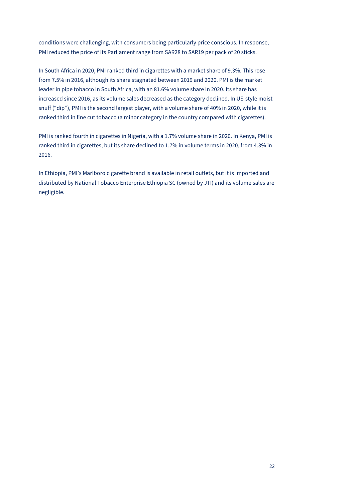conditions were challenging, with consumers being particularly price conscious. In response, PMI reduced the price of its Parliament range from SAR28 to SAR19 per pack of 20 sticks.

In South Africa in 2020, PMI ranked third in cigarettes with a market share of 9.3%. This rose from 7.5% in 2016, although its share stagnated between 2019 and 2020. PMI is the market leader in pipe tobacco in South Africa, with an 81.6% volume share in 2020. Its share has increased since 2016, as its volume sales decreased as the category declined. In US-style moist snuff ("dip"), PMI is the second largest player, with a volume share of 40% in 2020, while it is ranked third in fine cut tobacco (a minor category in the country compared with cigarettes).

PMI is ranked fourth in cigarettes in Nigeria, with a 1.7% volume share in 2020. In Kenya, PMI is ranked third in cigarettes, but its share declined to 1.7% in volume terms in 2020, from 4.3% in 2016.

In Ethiopia, PMI's Marlboro cigarette brand is available in retail outlets, but it is imported and distributed by National Tobacco Enterprise Ethiopia SC (owned by JTI) and its volume sales are negligible.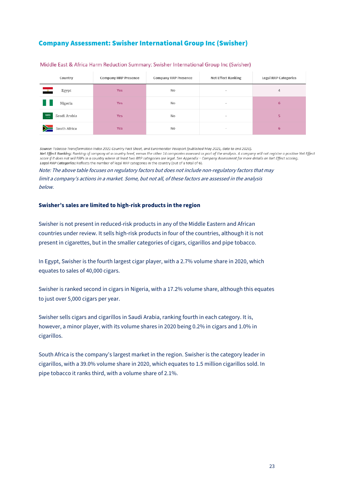## Company Assessment: Swisher International Group Inc (Swisher)

| Country                              | <b>Company HRP Presence</b> | <b>Company RRP Presence</b> | <b>Net Effect Ranking</b> | <b>Legal RRP Categories</b> |
|--------------------------------------|-----------------------------|-----------------------------|---------------------------|-----------------------------|
| Egypt<br>$\overline{\mathbf{z}}$     | <b>Yes</b>                  | No                          | $\sim$                    | 4                           |
| Nigeria                              | <b>Yes</b>                  | No                          | $\sim$                    | $6\phantom{1}$              |
| $\frac{53003}{1100}$<br>Saudi Arabia | <b>Yes</b>                  | No                          | $\sim$                    | 5                           |
| $\sum$ South Africa                  | <b>Yes</b>                  | No                          | $\sim$                    | 6                           |

#### Middle East & Africa Harm Reduction Summary: Swisher International Group Inc (Swisher)

Source: Tobacco Transformation Index 2021 Country Fact Sheet, and Euromonitor Passport (published May 2021, data to end 2020). Net Effect Ranking: Ranking of company at a country level, versus the other 14 companies assessed as part of the analysis. A company will not register a positive Net Effect score if it does not sell RRPs in a country where at least two RRP categories are legal. See Appendix - Company Assessment for more details on Net Effect scoring. Legal RRP Categories: Reflects the number of legal RRP categories in the country (out of a total of 6).

Note: The above table focuses on regulatory factors but does not include non-regulatory factors that may limit a company's actions in a market. Some, but not all, of these factors are assessed in the analysis below.

## **Swisher's sales are limited to high-risk products in the region**

Swisher is not present in reduced-risk products in any of the Middle Eastern and African countries under review. It sells high-risk products in four of the countries, although it is not present in cigarettes, but in the smaller categories of cigars, cigarillos and pipe tobacco.

In Egypt, Swisher is the fourth largest cigar player, with a 2.7% volume share in 2020, which equates to sales of 40,000 cigars.

Swisher is ranked second in cigars in Nigeria, with a 17.2% volume share, although this equates to just over 5,000 cigars per year.

Swisher sells cigars and cigarillos in Saudi Arabia, ranking fourth in each category. It is, however, a minor player, with its volume shares in 2020 being 0.2% in cigars and 1.0% in cigarillos.

South Africa is the company's largest market in the region. Swisher is the category leader in cigarillos, with a 39.0% volume share in 2020, which equates to 1.5 million cigarillos sold. In pipe tobacco it ranks third, with a volume share of 2.1%.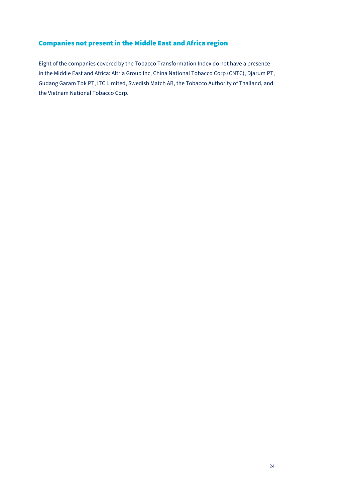## Companies not present in the Middle East and Africa region

Eight of the companies covered by the Tobacco Transformation Index do not have a presence in the Middle East and Africa: Altria Group Inc, China National Tobacco Corp (CNTC), Djarum PT, Gudang Garam Tbk PT, ITC Limited, Swedish Match AB, the Tobacco Authority of Thailand, and the Vietnam National Tobacco Corp.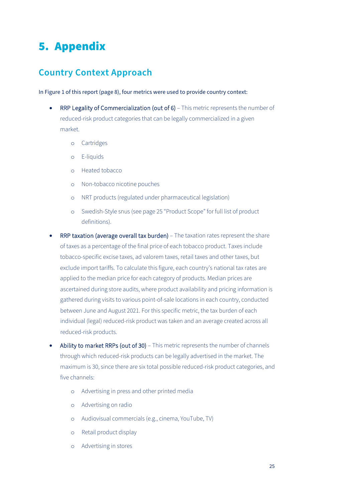# <span id="page-25-0"></span>5. Appendix

# <span id="page-25-1"></span>**Country Context Approach**

In Figure 1 of this report (page 8), four metrics were used to provide country context:

- RRP Legality of Commercialization (out of 6) This metric represents the number of reduced-risk product categories that can be legally commercialized in a given market.
	- o Cartridges
	- o E-liquids
	- o Heated tobacco
	- o Non-tobacco nicotine pouches
	- o NRT products (regulated under pharmaceutical legislation)
	- o Swedish-Style snus (see page 25 "Product Scope" for full list of product definitions).
- RRP taxation (average overall tax burden) The taxation rates represent the share of taxes as a percentage of the final price of each tobacco product. Taxes include tobacco-specific excise taxes, ad valorem taxes, retail taxes and other taxes, but exclude import tariffs. To calculate this figure, each country's national tax rates are applied to the median price for each category of products. Median prices are ascertained during store audits, where product availability and pricing information is gathered during visits to various point-of-sale locations in each country, conducted between June and August 2021. For this specific metric, the tax burden of each individual (legal) reduced-risk product was taken and an average created across all reduced-risk products.
- Ability to market RRPs (out of 30) This metric represents the number of channels through which reduced-risk products can be legally advertised in the market. The maximum is 30, since there are six total possible reduced-risk product categories, and five channels:
	- o Advertising in press and other printed media
	- o Advertising on radio
	- o Audiovisual commercials (e.g., cinema, YouTube, TV)
	- o Retail product display
	- o Advertising in stores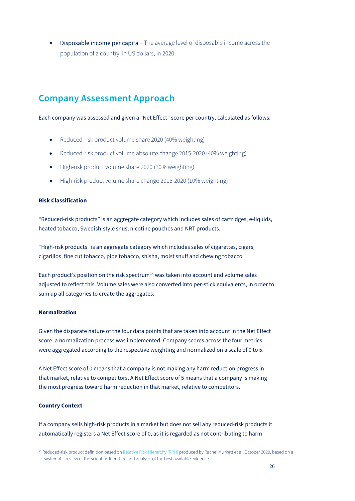• Disposable income per capita – The average level of disposable income across the population of a country, in US dollars, in 2020.

# <span id="page-26-0"></span>**Company Assessment Approach**

Each company was assessed and given a "Net Effect" score per country, calculated as follows:

- Reduced-risk product volume share 2020 (40% weighting)
- Reduced-risk product volume absolute change 2015-2020 (40% weighting)
- High-risk product volume share 2020 (10% weighting)
- High-risk product volume share change 2015-2020 (10% weighting)

## **Risk Classification**

"Reduced-risk products" is an aggregate category which includes sales of cartridges, e-liquids, heated tobacco, Swedish-style snus, nicotine pouches and NRT products.

"High-risk products" is an aggregate category which includes sales of cigarettes, cigars, cigarillos, fine cut tobacco, pipe tobacco, shisha, moist snuff and chewing tobacco.

Each product's position on the risk spectrum<sup>[14](#page-26-1)</sup> was taken into account and volume sales adjusted to reflect this. Volume sales were also converted into per-stick equivalents, in order to sum up all categories to create the aggregates.

## **Normalization**

Given the disparate nature of the four data points that are taken into account in the Net Effect score, a normalization process was implemented. Company scores across the four metrics were aggregated according to the respective weighting and normalized on a scale of 0 to 5.

A Net Effect score of 0 means that a company is not making any harm reduction progress in that market, relative to competitors. A Net Effect score of 5 means that a company is making the most progress toward harm reduction in that market, relative to competitors.

## **Country Context**

If a company sells high-risk products in a market but does not sell any reduced-risk products it automatically registers a Net Effect score of 0, as it is regarded as not contributing to harm

<span id="page-26-1"></span><sup>&</sup>lt;sup>14</sup> Reduced-risk product definition based o[n Relative Risk Hierarchy \(RRH\)](https://f1000research.com/articles/9-1225) produced by Rachel Murkett et al, October 2020, based on a systematic review of the scientific literature and analysis of the best available evidence.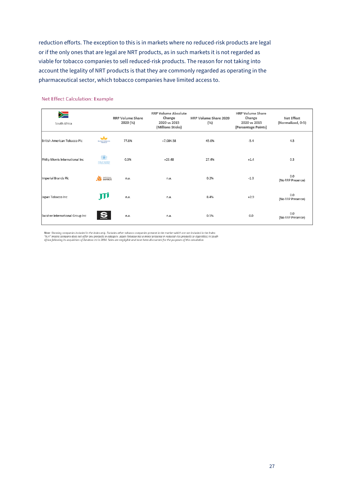reduction efforts. The exception to this is in markets where no reduced-risk products are legal or if the only ones that are legal are NRT products, as in such markets it is not regarded as viable for tobacco companies to sell reduced-risk products. The reason for not taking into account the legality of NRT products is that they are commonly regarded as operating in the pharmaceutical sector, which tobacco companies have limited access to.

| y<br>South Africa               |                                | <b>RRP Volume Share</b><br>2020 (%) | <b>RRP Volume Absolute</b><br>Change<br>2020 vs 2015<br>(Millions Sticks) | HRP Volume Share 2020<br>(%) | <b>HRP Volume Share</b><br>Change<br>2020 vs 2015<br>(Percentage Points) | <b>Net Effect</b><br>(Normalized, 0-5) |
|---------------------------------|--------------------------------|-------------------------------------|---------------------------------------------------------------------------|------------------------------|--------------------------------------------------------------------------|----------------------------------------|
| British American Tobacco Plc    | مشد<br><b>BRITISH AMERICAN</b> | 77.8%                               | $+7,084.58$                                                               | 45.0%                        | $-5.4$                                                                   | 4.5                                    |
| Philip Morris International Inc | éö,<br><b>RIME MORES</b>       | 0.3%                                | $+23.48$                                                                  | 27.4%                        | $+1.4$                                                                   | 0.3                                    |
| Imperial Brands Plc             | <b>XX</b> BRANDS               | n.a.                                | n.a.                                                                      | 0.2%                         | $-1.3$                                                                   | 0.0<br>(No RRP Presence)               |
| Japan Tobacco Inc               | JII                            | n.a.                                | n.a.                                                                      | 8.4%                         | $+2.9$                                                                   | 0.0<br>(No RRP Presence)               |
| Swisher International Group Inc |                                | n.a.                                | n.a.                                                                      | 0.5%                         | 0.0                                                                      | 0.0<br>(No RRP Presence)               |

## Net Effect Calculation: Example

Note: Showing companies included in the Index only. Excludes other tobacco companies present in the market which are not included in the Index.<br>"N.A" means company does not offer any products in category. Japan Tobacco has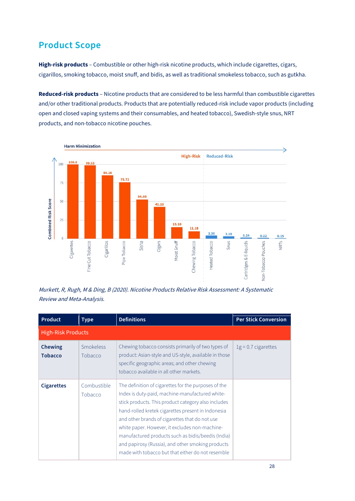# <span id="page-28-0"></span>**Product Scope**

**High-risk products** – Combustible or other high-risk nicotine products, which include cigarettes, cigars, cigarillos, smoking tobacco, moist snuff, and bidis, as well as traditional smokeless tobacco, such as gutkha.

**Reduced-risk products** – Nicotine products that are considered to be less harmful than combustible cigarettes and/or other traditional products. Products that are potentially reduced-risk include vapor products (including open and closed vaping systems and their consumables, and heated tobacco), Swedish-style snus, NRT products, and non-tobacco nicotine pouches.



Murkett, R, Rugh, M & Ding, B (2020). Nicotine Product[s Relative Risk Assessment:](https://f1000research.com/articles/9-1225) A Systematic Review and Meta-Analysis.

| <b>Product</b>                   | <b>Type</b>                 | <b>Definitions</b>                                                                                                                                                                                                                                                                                                                                                                                                                                                                       | <b>Per Stick Conversion</b> |
|----------------------------------|-----------------------------|------------------------------------------------------------------------------------------------------------------------------------------------------------------------------------------------------------------------------------------------------------------------------------------------------------------------------------------------------------------------------------------------------------------------------------------------------------------------------------------|-----------------------------|
| <b>High-Risk Products</b>        |                             |                                                                                                                                                                                                                                                                                                                                                                                                                                                                                          |                             |
| <b>Chewing</b><br><b>Tobacco</b> | <b>Smokeless</b><br>Tobacco | Chewing tobacco consists primarily of two types of<br>product: Asian-style and US-style, available in those<br>specific geographic areas; and other chewing<br>tobacco available in all other markets.                                                                                                                                                                                                                                                                                   | $1g = 0.7$ cigarettes       |
| <b>Cigarettes</b>                | Combustible<br>Tobacco      | The definition of cigarettes for the purposes of the<br>Index is duty-paid, machine-manufactured white-<br>stick products. This product category also includes<br>hand-rolled kretek cigarettes present in Indonesia<br>and other brands of cigarettes that do not use<br>white paper. However, it excludes non-machine-<br>manufactured products such as bidis/beedis (India)<br>and papirosy (Russia), and other smoking products<br>made with tobacco but that either do not resemble |                             |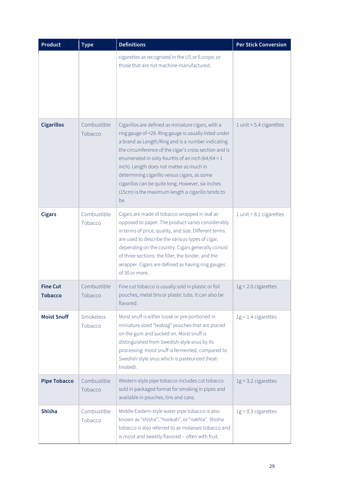| <b>Product</b>                    | <b>Type</b>            | <b>Definitions</b>                                                                                                                                                                                                                                                                                                                                                                                                                                                                            | <b>Per Stick Conversion</b> |
|-----------------------------------|------------------------|-----------------------------------------------------------------------------------------------------------------------------------------------------------------------------------------------------------------------------------------------------------------------------------------------------------------------------------------------------------------------------------------------------------------------------------------------------------------------------------------------|-----------------------------|
|                                   |                        | cigarettes as recognized in the US or Europe, or<br>those that are not machine-manufactured.                                                                                                                                                                                                                                                                                                                                                                                                  |                             |
| <b>Cigarillos</b>                 | Combustible<br>Tobacco | Cigarillos are defined as miniature cigars, with a<br>ring gauge of <29. Ring gauge is usually listed under<br>a brand as Length/Ring and is a number indicating<br>the circumference of the cigar's cross section and is<br>enumerated in sixty-fourths of an inch (64/64 = $1$<br>inch). Length does not matter as much in<br>determining cigarillo versus cigars, as some<br>cigarillos can be quite long. However, six inches<br>(15cm) is the maximum length a cigarillo tends to<br>be. | 1 unit = $5.4$ cigarettes   |
| <b>Cigars</b>                     | Combustible<br>Tobacco | Cigars are made of tobacco wrapped in leaf as<br>opposed to paper. The product varies considerably<br>in terms of price, quality, and size. Different terms<br>are used to describe the various types of cigar,<br>depending on the country. Cigars generally consist<br>of three sections: the filler, the binder, and the<br>wrapper. Cigars are defined as having ring gauges<br>of 30 or more.                                                                                            | $1$ unit = 8.1 cigarettes   |
| <b>Fine Cut</b><br><b>Tobacco</b> | Combustible<br>Tobacco | Fine cut tobacco is usually sold in plastic or foil<br>pouches, metal tins or plastic tubs. It can also be<br>flavored.                                                                                                                                                                                                                                                                                                                                                                       | $1g = 2.0$ cigarettes       |
| <b>Moist Snuff</b>                | Smokeless<br>Tobacco   | Moist snuff is either loose or pre-portioned in<br>miniature sized "teabag" pouches that are placed<br>on the gum and sucked on. Moist snuff is<br>distinguished from Swedish-style snus by its<br>processing: moist snuff is fermented, compared to<br>Swedish-style snus which is pasteurized (heat-<br>treated).                                                                                                                                                                           | $1g = 1.4$ cigarettes       |
| <b>Pipe Tobacco</b>               | Combustible<br>Tobacco | Western-style pipe tobacco includes cut tobacco<br>sold in packaged format for smoking in pipes and<br>available in pouches, tins and cans.                                                                                                                                                                                                                                                                                                                                                   | $1g = 3.2$ cigarettes       |
| <b>Shisha</b>                     | Combustible<br>Tobacco | Middle Eastern-style water pipe tobacco is also<br>known as "shisha", "hookah", or "nakhla". Shisha<br>tobacco is also referred to as molasses tobacco and<br>is moist and sweetly flavored - often with fruit.                                                                                                                                                                                                                                                                               | $1g = 0.3$ cigarettes       |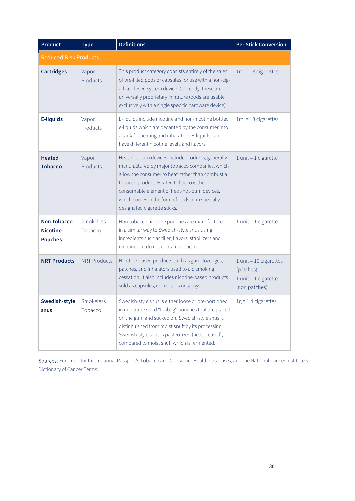| <b>Product</b>                                   | <b>Type</b>          | <b>Definitions</b>                                                                                                                                                                                                                                                                                                                   | <b>Per Stick Conversion</b>                                                        |
|--------------------------------------------------|----------------------|--------------------------------------------------------------------------------------------------------------------------------------------------------------------------------------------------------------------------------------------------------------------------------------------------------------------------------------|------------------------------------------------------------------------------------|
| <b>Reduced-Risk Products</b>                     |                      |                                                                                                                                                                                                                                                                                                                                      |                                                                                    |
| <b>Cartridges</b>                                | Vapor<br>Products    | This product category consists entirely of the sales<br>of pre-filled pods or capsules for use with a non-cig-<br>a-like closed system device. Currently, these are<br>universally proprietary in nature (pods are usable<br>exclusively with a single specific hardware device).                                                    | $1ml = 13$ cigarettes                                                              |
| <b>E-liquids</b>                                 | Vapor<br>Products    | E-liquids include nicotine and non-nicotine bottled<br>e-liquids which are decanted by the consumer into<br>a tank for heating and inhalation. E-liquids can<br>have different nicotine levels and flavors.                                                                                                                          | $1ml = 13$ cigarettes                                                              |
| <b>Heated</b><br><b>Tobacco</b>                  | Vapor<br>Products    | Heat-not-burn devices include products, generally<br>manufactured by major tobacco companies, which<br>allow the consumer to heat rather than combust a<br>tobacco product. Heated tobacco is the<br>consumable element of heat-not-burn devices,<br>which comes in the form of pods or in specially<br>designated cigarette sticks. | $1$ unit = $1$ cigarette                                                           |
| Non-tobacco<br><b>Nicotine</b><br><b>Pouches</b> | Smokeless<br>Tobacco | Non-tobacco nicotine pouches are manufactured<br>in a similar way to Swedish-style snus using<br>ingredients such as filler, flavors, stabilizers and<br>nicotine but do not contain tobacco.                                                                                                                                        | $1$ unit = $1$ cigarette                                                           |
| <b>NRT Products</b>                              | <b>NRT Products</b>  | Nicotine-based products such as gum, lozenges,<br>patches, and inhalators used to aid smoking<br>cessation. It also includes nicotine-based products<br>sold as capsules, micro-tabs or sprays.                                                                                                                                      | $1$ unit = 10 cigarettes<br>(patches)<br>$1$ unit = $1$ cigarette<br>(non patches) |
| Swedish-style<br>snus                            | Smokeless<br>Tobacco | Swedish-style snus is either loose or pre-portioned<br>in miniature sized "teabag" pouches that are placed<br>on the gum and sucked on. Swedish-style snus is<br>distinguished from moist snuff by its processing:<br>Swedish-style snus is pasteurized (heat-treated),<br>compared to moist snuff which is fermented.               | $1g = 1.4$ cigarettes                                                              |

Sources: Euromonitor International Passport's Tobacco and Consumer Health databases, and the National Cancer Institute's Dictionary of Cancer Terms.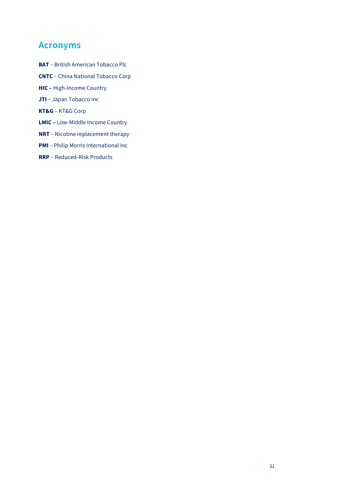# <span id="page-31-0"></span>**Acronyms**

- **BAT** British American Tobacco Plc
- **CNTC** China National Tobacco Corp
- **HIC –** High-Income Country
- **JTI** Japan Tobacco Inc
- **KT&G**  KT&G Corp
- **LMIC –** Low-Middle Income Country
- **NRT** Nicotine replacement therapy
- **PMI** Philip Morris International Inc
- **RRP** Reduced-Risk Products